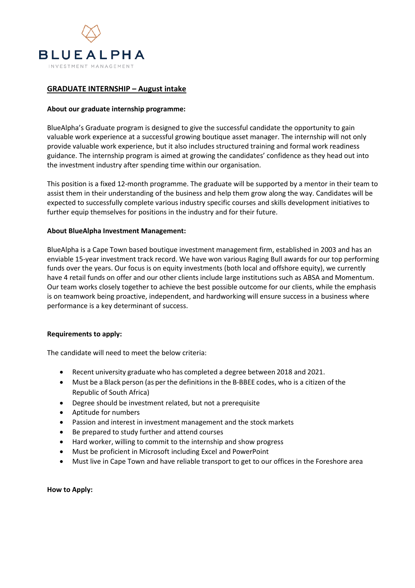

# **GRADUATE INTERNSHIP – August intake**

## **About our graduate internship programme:**

BlueAlpha's Graduate program is designed to give the successful candidate the opportunity to gain valuable work experience at a successful growing boutique asset manager. The internship will not only provide valuable work experience, but it also includes structured training and formal work readiness guidance. The internship program is aimed at growing the candidates' confidence as they head out into the investment industry after spending time within our organisation.

This position is a fixed 12-month programme. The graduate will be supported by a mentor in their team to assist them in their understanding of the business and help them grow along the way. Candidates will be expected to successfully complete various industry specific courses and skills development initiatives to further equip themselves for positions in the industry and for their future.

## **About BlueAlpha Investment Management:**

BlueAlpha is a Cape Town based boutique investment management firm, established in 2003 and has an enviable 15-year investment track record. We have won various Raging Bull awards for our top performing funds over the years. Our focus is on equity investments (both local and offshore equity), we currently have 4 retail funds on offer and our other clients include large institutions such as ABSA and Momentum. Our team works closely together to achieve the best possible outcome for our clients, while the emphasis is on teamwork being proactive, independent, and hardworking will ensure success in a business where performance is a key determinant of success.

#### **Requirements to apply:**

The candidate will need to meet the below criteria:

- Recent university graduate who has completed a degree between 2018 and 2021.
- Must be a Black person (as per the definitionsin the B-BBEE codes, who is a citizen of the Republic of South Africa)
- Degree should be investment related, but not a prerequisite
- Aptitude for numbers
- Passion and interest in investment management and the stock markets
- Be prepared to study further and attend courses
- Hard worker, willing to commit to the internship and show progress
- Must be proficient in Microsoft including Excel and PowerPoint
- Must live in Cape Town and have reliable transport to get to our offices in the Foreshore area

# **How to Apply:**